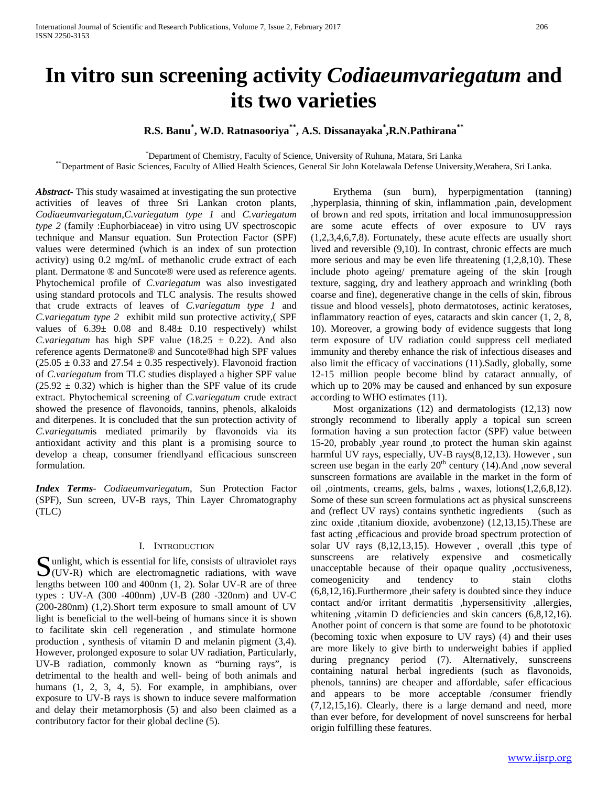# **In vitro sun screening activity** *Codiaeumvariegatum* **and its two varieties**

## **R.S. Banu\* , W.D. Ratnasooriya\*\*, A.S. Dissanayaka\* ,R.N.Pathirana\*\***

\*Department of Chemistry, Faculty of Science, University of Ruhuna, Matara, Sri Lanka

\*\*Department of Basic Sciences, Faculty of Allied Health Sciences, General Sir John Kotelawala Defense University,Werahera, Sri Lanka.

*Abstract***-** This study wasaimed at investigating the sun protective activities of leaves of three Sri Lankan croton plants, *Codiaeumvariegatum*,*C.variegatum type 1* and *C.variegatum type 2* (family :Euphorbiaceae) in vitro using UV spectroscopic technique and Mansur equation. Sun Protection Factor (SPF) values were determined (which is an index of sun protection activity) using 0.2 mg/mL of methanolic crude extract of each plant. Dermatone ® and Suncote® were used as reference agents. Phytochemical profile of *C.variegatum* was also investigated using standard protocols and TLC analysis. The results showed that crude extracts of leaves of *C.variegatum type 1* and *C.variegatum type 2* exhibit mild sun protective activity,( SPF values of  $6.39 \pm 0.08$  and  $8.48 \pm 0.10$  respectively) whilst *C.variegatum* has high SPF value (18.25  $\pm$  0.22). And also reference agents Dermatone® and Suncote®had high SPF values  $(25.05 \pm 0.33$  and  $27.54 \pm 0.35$  respectively). Flavonoid fraction of *C.variegatum* from TLC studies displayed a higher SPF value  $(25.92 \pm 0.32)$  which is higher than the SPF value of its crude extract. Phytochemical screening of *C.variegatum* crude extract showed the presence of flavonoids, tannins, phenols, alkaloids and diterpenes. It is concluded that the sun protection activity of *C.variegatum*is mediated primarily by flavonoids via its antioxidant activity and this plant is a promising source to develop a cheap, consumer friendlyand efficacious sunscreen formulation.

*Index Terms*- *Codiaeumvariegatum*, Sun Protection Factor (SPF), Sun screen, UV-B rays, Thin Layer Chromatography (TLC)

#### I. INTRODUCTION

unlight, which is essential for life, consists of ultraviolet rays  $\sum$  unlight, which is essential for life, consists of ultraviolet rays<br>(UV-R) which are electromagnetic radiations, with wave lengths between 100 and 400nm (1, 2). Solar UV-R are of three types : UV-A (300 -400nm) ,UV-B (280 -320nm) and UV-C (200-280nm) (1,2).Short term exposure to small amount of UV light is beneficial to the well-being of humans since it is shown to facilitate skin cell regeneration , and stimulate hormone production , synthesis of vitamin D and melanin pigment (3,4). However, prolonged exposure to solar UV radiation, Particularly, UV-B radiation, commonly known as "burning rays", is detrimental to the health and well- being of both animals and humans  $(1, 2, 3, 4, 5)$ . For example, in amphibians, over exposure to UV-B rays is shown to induce severe malformation and delay their metamorphosis (5) and also been claimed as a contributory factor for their global decline (5).

 Erythema (sun burn), hyperpigmentation (tanning) ,hyperplasia, thinning of skin, inflammation ,pain, development of brown and red spots, irritation and local immunosuppression are some acute effects of over exposure to UV rays (1,2,3,4,6,7,8). Fortunately, these acute effects are usually short lived and reversible (9,10). In contrast, chronic effects are much more serious and may be even life threatening (1,2,8,10). These include photo ageing/ premature ageing of the skin [rough texture, sagging, dry and leathery approach and wrinkling (both coarse and fine), degenerative change in the cells of skin, fibrous tissue and blood vessels], photo dermatotoses, actinic keratoses, inflammatory reaction of eyes, cataracts and skin cancer (1, 2, 8, 10). Moreover, a growing body of evidence suggests that long term exposure of UV radiation could suppress cell mediated immunity and thereby enhance the risk of infectious diseases and also limit the efficacy of vaccinations (11).Sadly, globally, some 12-15 million people become blind by cataract annually, of which up to 20% may be caused and enhanced by sun exposure according to WHO estimates (11).

 Most organizations (12) and dermatologists (12,13) now strongly recommend to liberally apply a topical sun screen formation having a sun protection factor (SPF) value between 15-20, probably ,year round ,to protect the human skin against harmful UV rays, especially, UV-B rays(8,12,13). However , sun screen use began in the early  $20<sup>th</sup>$  century (14).And ,now several sunscreen formations are available in the market in the form of oil ,ointments, creams, gels, balms , waxes, lotions(1,2,6,8,12). Some of these sun screen formulations act as physical sunscreens and (reflect UV rays) contains synthetic ingredients (such as zinc oxide ,titanium dioxide, avobenzone) (12,13,15). These are fast acting ,efficacious and provide broad spectrum protection of solar UV rays (8,12,13,15). However , overall ,this type of sunscreens are relatively expensive and cosmetically unacceptable because of their opaque quality ,occtusiveness, comeogenicity and tendency to stain cloths (6,8,12,16).Furthermore ,their safety is doubted since they induce contact and/or irritant dermatitis ,hypersensitivity ,allergies, whitening , vitamin D deficiencies and skin cancers  $(6,8,12,16)$ . Another point of concern is that some are found to be phototoxic (becoming toxic when exposure to UV rays) (4) and their uses are more likely to give birth to underweight babies if applied during pregnancy period (7). Alternatively, sunscreens containing natural herbal ingredients (such as flavonoids, phenols, tannins) are cheaper and affordable, safer efficacious and appears to be more acceptable /consumer friendly (7,12,15,16). Clearly, there is a large demand and need, more than ever before, for development of novel sunscreens for herbal origin fulfilling these features.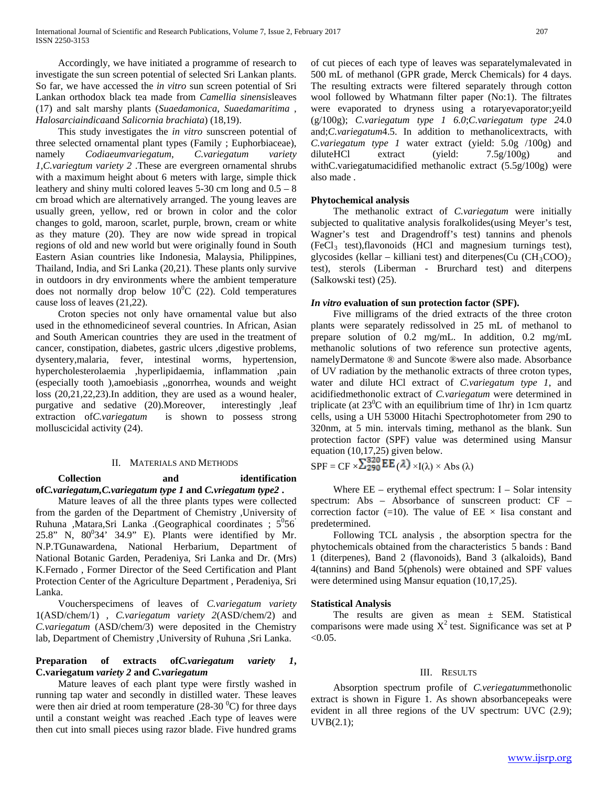Accordingly, we have initiated a programme of research to investigate the sun screen potential of selected Sri Lankan plants. So far, we have accessed the *in vitro* sun screen potential of Sri Lankan orthodox black tea made from *Camellia sinensis*leaves (17) and salt marshy plants (*Suaedamonica*, *Suaedamaritima* , *Halosarciaindica*and *Salicornia brachiata*) (18,19).

 This study investigates the *in vitro* sunscreen potential of three selected ornamental plant types (Family ; Euphorbiaceae), namely *Codiaeumvariegatum*, *C.variegatum variety 1,C.variegtum variety 2* .These are evergreen ornamental shrubs with a maximum height about 6 meters with large, simple thick leathery and shiny multi colored leaves 5-30 cm long and 0.5 – 8 cm broad which are alternatively arranged. The young leaves are usually green, yellow, red or brown in color and the color changes to gold, maroon, scarlet, purple, brown, cream or white as they mature (20). They are now wide spread in tropical regions of old and new world but were originally found in South Eastern Asian countries like Indonesia, Malaysia, Philippines, Thailand, India, and Sri Lanka (20,21). These plants only survive in outdoors in dry environments where the ambient temperature does not normally drop below  $10^0C$  (22). Cold temperatures cause loss of leaves (21,22).

 Croton species not only have ornamental value but also used in the ethnomedicineof several countries. In African, Asian and South American countries they are used in the treatment of cancer, constipation, diabetes, gastric ulcers ,digestive problems, dysentery,malaria, fever, intestinal worms, hypertension, hypercholesterolaemia ,hyperlipidaemia, inflammation ,pain (especially tooth ),amoebiasis ,,gonorrhea, wounds and weight loss (20,21,22,23).In addition, they are used as a wound healer, purgative and sedative (20).Moreover, interestingly ,leaf extraction of*C.variegatum* is shown to possess strong molluscicidal activity (24).

#### II. MATERIALS AND METHODS

 **Collection and identification of***C.variegatum,C.variegatum type 1* **and** *C.vriegatum type2* **.**

 Mature leaves of all the three plants types were collected from the garden of the Department of Chemistry ,University of Ruhuna ,Matara,Sri Lanka .(Geographical coordinates ;  $5^0$ 56  $25.8"$  N,  $80^034'$   $34.9"$  E). Plants were identified by Mr. N.P.TGunawardena, National Herbarium, Department of National Botanic Garden, Peradeniya, Sri Lanka and Dr. (Mrs) K.Fernado , Former Director of the Seed Certification and Plant Protection Center of the Agriculture Department , Peradeniya, Sri Lanka.

 Voucherspecimens of leaves of *C.variegatum variety* 1(ASD/chem/1) , *C.variegatum variety 2*(ASD/chem/2) and *C.variegatum* (ASD/chem/3) were deposited in the Chemistry lab, Department of Chemistry ,University of Ruhuna ,Sri Lanka.

## **Preparation of extracts of***C.variegatum variety 1***, C.variegatum** *variety 2* **and** *C.variegatum*

 Mature leaves of each plant type were firstly washed in running tap water and secondly in distilled water. These leaves were then air dried at room temperature (28-30 $\mathrm{^{0}C}$ ) for three days until a constant weight was reached .Each type of leaves were then cut into small pieces using razor blade. Five hundred grams

of cut pieces of each type of leaves was separatelymalevated in 500 mL of methanol (GPR grade, Merck Chemicals) for 4 days. The resulting extracts were filtered separately through cotton wool followed by Whatmann filter paper (No:1). The filtrates were evaporated to dryness using a rotaryevaporator;yeild (g/100g); *C.variegatum type 1 6.0*;*C.variegatum type 2*4.0 and;*C.variegatum*4.5. In addition to methanolicextracts, with *C.variegatum type 1* water extract (yield: 5.0g /100g) and diluteHCl extract (yield: 7.5g/100g) and withC.variegatumacidified methanolic extract (5.5g/100g) were also made .

## **Phytochemical analysis**

 The methanolic extract of *C.variegatum* were initially subjected to qualitative analysis foralkolides(using Meyer's test, Wagner's test and Dragendroff's test) tannins and phenols (FeCl3 test),flavonoids (HCl and magnesium turnings test), glycosides (kellar – killiani test) and diterpenes(Cu  $\text{(CH}_3\text{COO)}_2$ test), sterols (Liberman - Brurchard test) and diterpens (Salkowski test) (25).

#### *In vitro* **evaluation of sun protection factor (SPF).**

 Five milligrams of the dried extracts of the three croton plants were separately redissolved in 25 mL of methanol to prepare solution of 0.2 mg/mL. In addition, 0.2 mg/mL methanolic solutions of two reference sun protective agents, namelyDermatone ® and Suncote ®were also made. Absorbance of UV radiation by the methanolic extracts of three croton types, water and dilute HCl extract of *C.variegatum type 1*, and acidifiedmethonolic extract of *C.variegatum* were determined in triplicate (at  $23^{\circ}$ C with an equilibrium time of 1hr) in 1cm quartz cells, using a UH 53000 Hitachi Spectrophotometer from 290 to 320nm, at 5 min. intervals timing, methanol as the blank. Sun protection factor (SPF) value was determined using Mansur equation (10,17,25) given below.

$$
SPF = CF \times \frac{\Sigma^{320}}{290} EE(\lambda) \times I(\lambda) \times Abs(\lambda)
$$

Where  $EE$  – erythemal effect spectrum: I – Solar intensity spectrum: Abs – Absorbance of sunscreen product: CF – correction factor (=10). The value of  $EE \times I$  is a constant and predetermined.

 Following TCL analysis , the absorption spectra for the phytochemicals obtained from the characteristics 5 bands : Band 1 (diterpenes), Band 2 (flavonoids), Band 3 (alkaloids), Band 4(tannins) and Band 5(phenols) were obtained and SPF values were determined using Mansur equation (10,17,25).

#### **Statistical Analysis**

The results are given as mean  $\pm$  SEM. Statistical comparisons were made using  $X^2$  test. Significance was set at P  $< 0.05$ .

#### III. RESULTS

 Absorption spectrum profile of *C.veriegatum*methonolic extract is shown in Figure 1. As shown absorbancepeaks were evident in all three regions of the UV spectrum: UVC (2.9); UVB(2.1);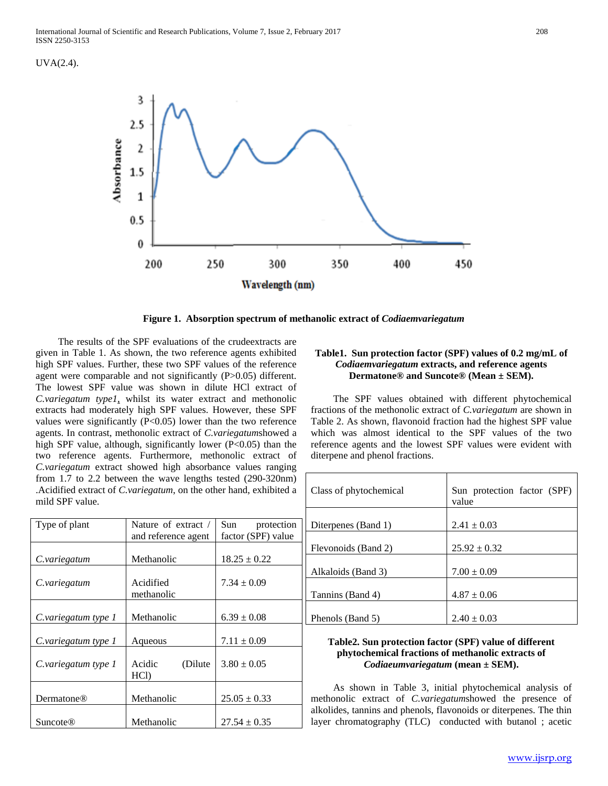UVA(2.4).



**Figure 1. Absorption spectrum of methanolic extract of** *Codiaemvariegatum*

 The results of the SPF evaluations of the crudeextracts are given in Table 1. As shown, the two reference agents exhibited high SPF values. Further, these two SPF values of the reference agent were comparable and not significantly (P>0.05) different. The lowest SPF value was shown in dilute HCl extract of *C.variegatum type1*, whilst its water extract and methonolic extracts had moderately high SPF values. However, these SPF values were significantly  $(P<0.05)$  lower than the two reference agents. In contrast, methonolic extract of *C.variegatum*showed a high SPF value, although, significantly lower (P<0.05) than the two reference agents. Furthermore, methonolic extract of *C.variegatum* extract showed high absorbance values ranging from 1.7 to 2.2 between the wave lengths tested (290-320nm) .Acidified extract of *C.variegatum*, on the other hand, exhibited a mild SPF value.

| Type of plant       | Nature of extract /<br>and reference agent | Sun<br>protection<br>factor (SPF) value |
|---------------------|--------------------------------------------|-----------------------------------------|
| C.variegatum        | Methanolic                                 | $18.25 \pm 0.22$                        |
| C.variegatum        | Acidified<br>methanolic                    | $7.34 \pm 0.09$                         |
| C.variegatum type 1 | Methanolic                                 | $6.39 \pm 0.08$                         |
| C.variegatum type 1 | Aqueous                                    | $7.11 \pm 0.09$                         |
| C.variegatum type 1 | Acidic<br>(Dilute)<br>HCl)                 | $3.80 \pm 0.05$                         |
| <b>Dermatone</b> ®  | Methanolic                                 | $25.05 \pm 0.33$                        |
| <b>Suncote®</b>     | Methanolic                                 | $27.54 \pm 0.35$                        |

#### **Table1. Sun protection factor (SPF) values of 0.2 mg/mL of**  *Codiaemvariegatum* **extracts, and reference agents Dermatone® and Suncote® (Mean ± SEM).**

 The SPF values obtained with different phytochemical fractions of the methonolic extract of *C.variegatum* are shown in Table 2. As shown, flavonoid fraction had the highest SPF value which was almost identical to the SPF values of the two reference agents and the lowest SPF values were evident with diterpene and phenol fractions.

| Class of phytochemical | Sun protection factor (SPF)<br>value |
|------------------------|--------------------------------------|
| Diterpenes (Band 1)    | $2.41 \pm 0.03$                      |
| Flevonoids (Band 2)    | $25.92 \pm 0.32$                     |
| Alkaloids (Band 3)     | $7.00 \pm 0.09$                      |
| Tannins (Band 4)       | $4.87 \pm 0.06$                      |
| Phenols (Band 5)       | $2.40 \pm 0.03$                      |

#### **Table2. Sun protection factor (SPF) value of different phytochemical fractions of methanolic extracts of**  *Codiaeumvariegatum* **(mean ± SEM).**

 As shown in Table 3, initial phytochemical analysis of methonolic extract of *C.variegatum*showed the presence of alkolides, tannins and phenols, flavonoids or diterpenes. The thin layer chromatography (TLC) conducted with butanol ; acetic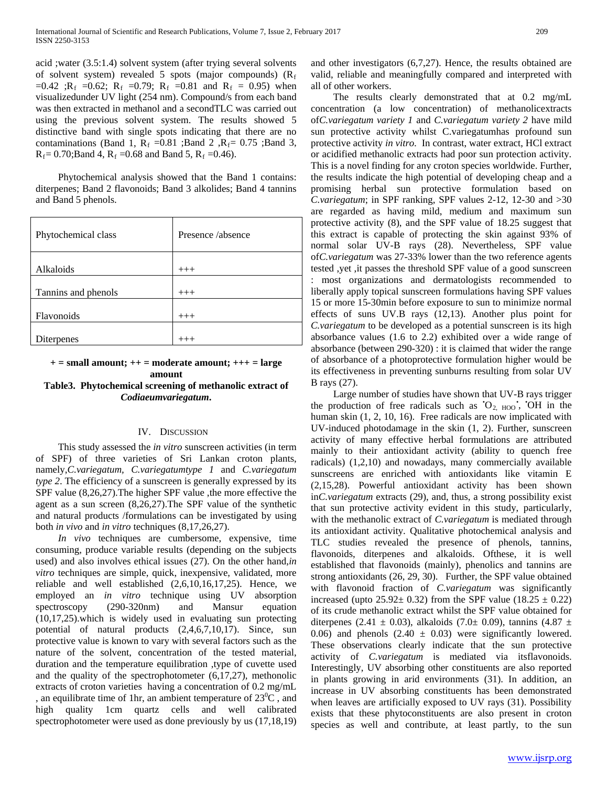acid ;water (3.5:1.4) solvent system (after trying several solvents of solvent system) revealed 5 spots (major compounds)  $(R_f)$ =0.42 ; $R_f$  =0.62;  $R_f$  =0.79;  $R_f$  =0.81 and  $R_f$  = 0.95) when visualizedunder UV light (254 nm). Compound/s from each band was then extracted in methanol and a secondTLC was carried out using the previous solvent system. The results showed 5 distinctive band with single spots indicating that there are no contaminations (Band 1,  $R_f = 0.81$ ; Band 2,  $R_f = 0.75$ ; Band 3,  $R_f$  = 0.70;Band 4,  $R_f$  =0.68 and Band 5,  $R_f$  =0.46).

 Phytochemical analysis showed that the Band 1 contains: diterpenes; Band 2 flavonoids; Band 3 alkolides; Band 4 tannins and Band 5 phenols.

| Phytochemical class | Presence /absence |
|---------------------|-------------------|
|                     |                   |
| Alkaloids           | $+++$             |
|                     |                   |
| Tannins and phenols | $+++$             |
|                     |                   |
| Flavonoids          | $+++$             |
|                     |                   |
| Diterpenes          |                   |

**+ = small amount; ++ = moderate amount; +++ = large amount**

**Table3. Phytochemical screening of methanolic extract of**  *Codiaeumvariegatum***.**

#### IV. DISCUSSION

 This study assessed the *in vitro* sunscreen activities (in term of SPF) of three varieties of Sri Lankan croton plants, namely,*C.variegatum, C.variegatumtype 1* and *C.variegatum type 2.* The efficiency of a sunscreen is generally expressed by its SPF value (8,26,27).The higher SPF value ,the more effective the agent as a sun screen (8,26,27).The SPF value of the synthetic and natural products /formulations can be investigated by using both *in vivo* and *in vitro* techniques (8,17,26,27).

 *In vivo* techniques are cumbersome, expensive, time consuming, produce variable results (depending on the subjects used) and also involves ethical issues (27). On the other hand,*in vitro* techniques are simple, quick, inexpensive, validated, more reliable and well established (2,6,10,16,17,25). Hence, we employed an *in vitro* technique using UV absorption spectroscopy (290-320nm) and Mansur equation (10,17,25).which is widely used in evaluating sun protecting potential of natural products (2,4,6,7,10,17). Since, sun protective value is known to vary with several factors such as the nature of the solvent, concentration of the tested material, duration and the temperature equilibration ,type of cuvette used and the quality of the spectrophotometer (6,17,27), methonolic extracts of croton varieties having a concentration of 0.2 mg/mL , an equilibrate time of 1hr, an ambient temperature of  $23^0C$ , and high quality 1cm quartz cells and well calibrated spectrophotometer were used as done previously by us (17,18,19)

and other investigators (6,7,27). Hence, the results obtained are valid, reliable and meaningfully compared and interpreted with all of other workers.

 The results clearly demonstrated that at 0.2 mg/mL concentration (a low concentration) of methanolicextracts of*C.variegatum variety 1* and *C.variegatum variety 2* have mild sun protective activity whilst C.variegatumhas profound sun protective activity *in vitro.* In contrast, water extract, HCl extract or acidified methanolic extracts had poor sun protection activity. This is a novel finding for any croton species worldwide. Further, the results indicate the high potential of developing cheap and a promising herbal sun protective formulation based on *C.variegatum*; in SPF ranking, SPF values 2-12, 12-30 and >30 are regarded as having mild, medium and maximum sun protective activity (8), and the SPF value of 18.25 suggest that this extract is capable of protecting the skin against 93% of normal solar UV-B rays (28). Nevertheless, SPF value of*C.variegatum* was 27-33% lower than the two reference agents tested ,yet ,it passes the threshold SPF value of a good sunscreen : most organizations and dermatologists recommended to liberally apply topical sunscreen formulations having SPF values 15 or more 15-30min before exposure to sun to minimize normal effects of suns UV.B rays (12,13). Another plus point for *C.variegatum* to be developed as a potential sunscreen is its high absorbance values (1.6 to 2.2) exhibited over a wide range of absorbance (between 290-320) : it is claimed that wider the range of absorbance of a photoprotective formulation higher would be its effectiveness in preventing sunburns resulting from solar UV B rays (27).

 Large number of studies have shown that UV-B rays trigger the production of free radicals such as  $^{\circ}O_{2, HOO}$ ,  $^{\circ}OH$  in the human skin (1, 2, 10, 16). Free radicals are now implicated with UV-induced photodamage in the skin (1, 2). Further, sunscreen activity of many effective herbal formulations are attributed mainly to their antioxidant activity (ability to quench free radicals) (1,2,10) and nowadays, many commercially available sunscreens are enriched with antioxidants like vitamin E (2,15,28). Powerful antioxidant activity has been shown in*C.variegatum* extracts (29), and, thus, a strong possibility exist that sun protective activity evident in this study, particularly, with the methanolic extract of *C.variegatum* is mediated through its antioxidant activity. Qualitative photochemical analysis and TLC studies revealed the presence of phenols, tannins, flavonoids, diterpenes and alkaloids. Ofthese, it is well established that flavonoids (mainly), phenolics and tannins are strong antioxidants (26, 29, 30). Further, the SPF value obtained with flavonoid fraction of *C.variegatum* was significantly increased (upto  $25.92 \pm 0.32$ ) from the SPF value (18.25  $\pm$  0.22) of its crude methanolic extract whilst the SPF value obtained for diterpenes (2.41  $\pm$  0.03), alkaloids (7.0 $\pm$  0.09), tannins (4.87  $\pm$ 0.06) and phenols  $(2.40 \pm 0.03)$  were significantly lowered. These observations clearly indicate that the sun protective activity of *C.variegatum* is mediated via itsflavonoids. Interestingly, UV absorbing other constituents are also reported in plants growing in arid environments (31). In addition, an increase in UV absorbing constituents has been demonstrated when leaves are artificially exposed to UV rays (31). Possibility exists that these phytoconstituents are also present in croton species as well and contribute, at least partly, to the sun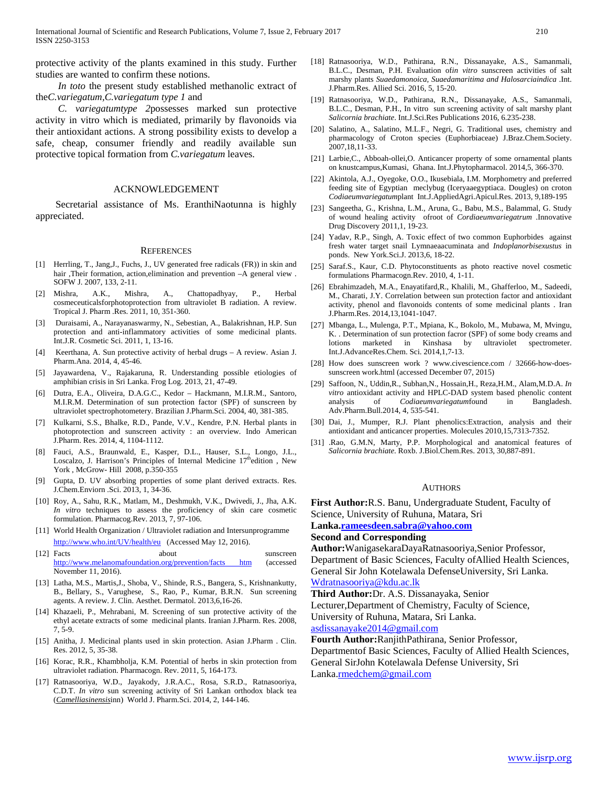protective activity of the plants examined in this study. Further studies are wanted to confirm these notions.

 *In toto* the present study established methanolic extract of the*C.variegatum,C.variegatum type 1* and

 *C. variegatumtype 2*possesses marked sun protective activity in vitro which is mediated, primarily by flavonoids via their antioxidant actions. A strong possibility exists to develop a safe, cheap, consumer friendly and readily available sun protective topical formation from *C.variegatum* leaves.

#### ACKNOWLEDGEMENT

 Secretarial assistance of Ms. EranthiNaotunna is highly appreciated.

#### **REFERENCES**

- [1] Herrling, T., Jang,J., Fuchs, J., UV generated free radicals (FR)) in skin and hair ,Their formation, action,elimination and prevention  $-A$  general view . SOFW J. 2007, 133, 2-11.
- [2] Mishra, A.K., Mishra, A., Chattopadhyay, P., Herbal cosmeceuticalsforphotoprotection from ultraviolet B radiation. A review. Tropical J. Pharm .Res. 2011, 10, 351-360.
- [3] Duraisami, A., Narayanaswarmy, N., Sebestian, A., Balakrishnan, H.P. Sun protection and anti-inflammatory activities of some medicinal plants. Int.J.R. Cosmetic Sci. 2011, 1, 13-16.
- Keerthana, A. Sun protective activity of herbal drugs A review. Asian J. Pharm.Ana. 2014, 4, 45-46.
- [5] Jayawardena, V., Rajakaruna, R. Understanding possible etiologies of amphibian crisis in Sri Lanka. Frog Log. 2013, 21, 47-49.
- [6] Dutra, E.A., Oliveira, D.A.G.C., Kedor Hackmann, M.I.R.M., Santoro, M.I.R.M. Determination of sun protection factor (SPF) of sunscreen by ultraviolet spectrophotometery. Brazilian J.Pharm.Sci. 2004, 40, 381-385.
- [7] Kulkarni, S.S., Bhalke, R.D., Pande, V.V., Kendre, P.N. Herbal plants in photoprotection and sunscreen activity : an overview. Indo American J.Pharm. Res. 2014, 4, 1104-1112.
- [8] Fauci, A.S., Braunwald, E., Kasper, D.L., Hauser, S.L., Longo, J.L., Loscalzo, J. Harrison's Principles of Internal Medicine 17<sup>th</sup>edition, New York , McGrow- Hill 2008, p.350-355
- [9] Gupta, D. UV absorbing properties of some plant derived extracts. Res. J.Chem.Enviorn .Sci. 2013, 1, 34-36.
- [10] Roy, A., Sahu, R.K., Matlam, M., Deshmukh, V.K., Dwivedi, J., Jha, A.K. *In vitro* techniques to assess the proficiency of skin care cosmetic formulation. Pharmacog.Rev. 2013, 7, 97-106.
- [11] World Health Organization / Ultraviolet radiation and Intersunprogramme <http://www.who.int/UV/health/eu>(Accessed May 12, 2016).
- [12] Facts about sunscreen [http://www.melanomafoundation.org/prevention/facts htm](http://www.melanomafoundation.org/prevention/facts%20htm) (accessed November 11, 2016).
- [13] Latha, M.S., Martis,J., Shoba, V., Shinde, R.S., Bangera, S., Krishnankutty, B., Bellary, S., Varughese, S., Rao, P., Kumar, B.R.N. Sun screening agents. A review. J. Clin. Aesthet. Dermatol. 2013,6,16-26.
- [14] Khazaeli, P., Mehrabani, M. Screening of sun protective activity of the ethyl acetate extracts of some medicinal plants. Iranian J.Pharm. Res. 2008, 7, 5-9.
- [15] Anitha, J. Medicinal plants used in skin protection. Asian J.Pharm . Clin. Res. 2012, 5, 35-38.
- [16] Korac, R.R., Khambholja, K.M. Potential of herbs in skin protection from ultraviolet radiation. Pharmacogn. Rev. 2011, 5, 164-173.
- [17] Ratnasooriya, W.D., Jayakody, J.R.A.C., Rosa, S.R.D., Ratnasooriya, C.D.T. *In vitro* sun screening activity of Sri Lankan orthodox black tea (*Camelliasinensis*inn) World J. Pharm.Sci. 2014, 2, 144-146.
- [18] Ratnasooriya, W.D., Pathirana, R.N., Dissanayake, A.S., Samanmali, B.L.C., Desman, P.H. Evaluation of*in vitro* sunscreen activities of salt marshy plants *Suaedamonoica, Suaedamaritima and Halosarciaindica* .Int. J.Pharm.Res. Allied Sci. 2016, 5, 15-20.
- [19] Ratnasooriya, W.D., Pathirana, R.N., Dissanayake, A.S., Samanmali, B.L.C., Desman, P.H., In vitro sun screening activity of salt marshy plant *Salicornia brachiate*. Int.J.Sci.Res Publications 2016, 6.235-238.
- [20] Salatino, A., Salatino, M.L.F., Negri, G. Traditional uses, chemistry and pharmacology of Croton species (Euphorbiaceae) J.Braz.Chem.Society. 2007,18,11-33.
- [21] Larbie,C., Abboah-ollei,O. Anticancer property of some ornamental plants on knustcampus,Kumasi, Ghana. Int.J.Phytopharmacol. 2014,5, 366-370.
- [22] Akintola, A.J., Oyegoke, O.O., Ikusebiala, I.M. Morphometry and preferred feeding site of Egyptian meclybug (Iceryaaegyptiaca. Dougles) on croton *Codiaeumvariegatum*plant Int.J.AppliedAgri.Apicul.Res. 2013, 9,189-195
- [23] Sangeetha, G., Krishna, L.M., Aruna, G., Babu, M.S., Balammal, G. Study of wound healing activity ofroot of *Cordiaeumvariegatrum* .Innovative Drug Discovery 2011,1, 19-23.
- [24] Yadav, R.P., Singh, A. Toxic effect of two common Euphorbides against fresh water target snail Lymnaeaacuminata and *Indoplanorbisexustus* in ponds. New York.Sci.J. 2013,6, 18-22.
- [25] Saraf.S., Kaur, C.D. Phytoconstituents as photo reactive novel cosmetic formulations Pharmacogn.Rev. 2010, 4, 1-11.
- [26] Ebrahimzadeh, M.A., Enayatifard,R., Khalili, M., Ghafferloo, M., Sadeedi, M., Charati, J.Y. Correlation between sun protection factor and antioxidant activity, phenol and flavonoids contents of some medicinal plants . Iran J.Pharm.Res. 2014,13,1041-1047.
- [27] Mbanga, L., Mulenga, P.T., Mpiana, K., Bokolo, M., Mubawa, M, Mvingu, K. . Determination of sun protection facror (SPF) of some body creams and lotions marketed in Kinshasa by ultraviolet spectrometer. Int.J.AdvanceRes.Chem. Sci. 2014,1,7-13.
- [28] How does sunscreen work ? www.civescience.com / 32666-how-doessunscreen work.html (accessed December 07, 2015)
- [29] Saffoon, N., Uddin,R., Subhan,N., Hossain,H., Reza,H.M., Alam,M.D.A. *In vitro* antioxidant activity and HPLC-DAD system based phenolic content analysis of *Codiaeumvariegatum*found in Bangladesh. Adv.Pharm.Bull.2014, 4, 535-541.
- [30] Dai, J., Mumper, R.J. Plant phenolics: Extraction, analysis and their antioxidant and anticancer properties. Molecules 2010,15,7313-7352.
- [31] .Rao, G.M.N, Marty, P.P. Morphological and anatomical features of *Salicornia brachiate*. Roxb. J.Biol.Chem.Res. 2013, 30,887-891.

#### AUTHORS

**First Author:**R.S. Banu, Undergraduate Student, Faculty of Science, University of Ruhuna, Matara, Sri

**Lank[a.rameesdeen.sabra@yahoo.com](mailto:rameesdeen.sabra@yahoo.com)**

#### **Second and Corresponding**

**Author:**WanigasekaraDayaRatnasooriya,Senior Professor, Department of Basic Sciences, Faculty ofAllied Health Sciences, General Sir John Kotelawala DefenseUniversity, Sri Lanka. [Wdratnasooriya@kdu.ac.lk](mailto:Wdratnasooriya@kdu.ac.lk)

**Third Author:**Dr. A.S. Dissanayaka, Senior

Lecturer,Department of Chemistry, Faculty of Science,

University of Ruhuna, Matara, Sri Lanka.

[asdissanayake2014@gmail.com](mailto:asdissanayake2014@gmail.com)

**Fourth Author:**RanjithPathirana, Senior Professor, Departmentof Basic Sciences, Faculty of Allied Health Sciences, General SirJohn Kotelawala Defense University, Sri Lank[a.rmedchem@gmail.com](mailto:rmedchem@gmail.com)